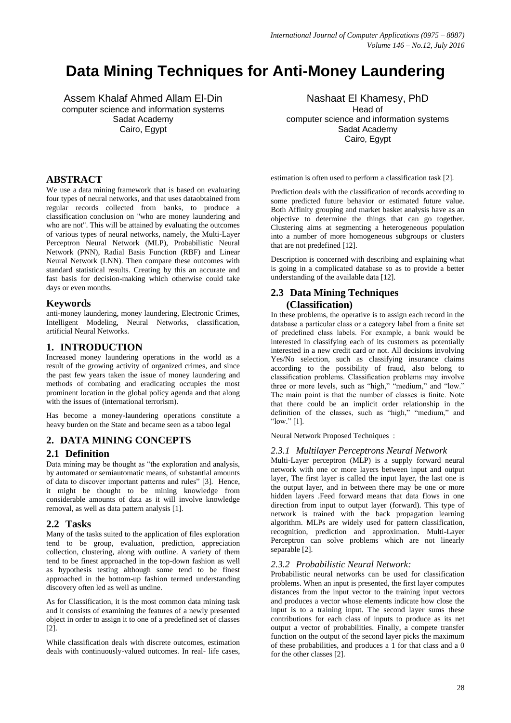# **Data Mining Techniques for Anti-Money Laundering**

Assem Khalaf Ahmed Allam El-Din computer science and information systems Sadat Academy Cairo, Egypt

### **ABSTRACT**

We use a data mining framework that is based on evaluating four types of neural networks, and that uses dataobtained from regular records collected from banks, to produce a classification conclusion on "who are money laundering and who are not". This will be attained by evaluating the outcomes of various types of neural networks, namely, the Multi-Layer Perceptron Neural Network (MLP), Probabilistic Neural Network (PNN), Radial Basis Function (RBF) and Linear Neural Network (LNN). Then compare these outcomes with standard statistical results. Creating by this an accurate and fast basis for decision-making which otherwise could take days or even months.

### **Keywords**

anti-money laundering, money laundering, Electronic Crimes, Intelligent Modeling, Neural Networks, classification, artificial Neural Networks.

# **1. INTRODUCTION**

Increased money laundering operations in the world as a result of the growing activity of organized crimes, and since the past few years taken the issue of money laundering and methods of combating and eradicating occupies the most prominent location in the global policy agenda and that along with the issues of (international terrorism).

Has become a money-laundering operations constitute a heavy burden on the State and became seen as a taboo legal

# **2. DATA MINING CONCEPTS**

# **2.1 Definition**

Data mining may be thought as "the exploration and analysis, by automated or semiautomatic means, of substantial amounts of data to discover important patterns and rules" [3]. Hence, it might be thought to be mining knowledge from considerable amounts of data as it will involve knowledge removal, as well as data pattern analysis [1].

# **2.2 Tasks**

Many of the tasks suited to the application of files exploration tend to be group, evaluation, prediction, appreciation collection, clustering, along with outline. A variety of them tend to be finest approached in the top-down fashion as well as hypothesis testing although some tend to be finest approached in the bottom-up fashion termed understanding discovery often led as well as undine.

As for Classification, it is the most common data mining task and it consists of examining the features of a newly presented object in order to assign it to one of a predefined set of classes [2].

While classification deals with discrete outcomes, estimation deals with continuously-valued outcomes. In real- life cases,

Nashaat El Khamesy, PhD Head of computer science and information systems Sadat Academy Cairo, Egypt

estimation is often used to perform a classification task [2].

Prediction deals with the classification of records according to some predicted future behavior or estimated future value. Both Affinity grouping and market basket analysis have as an objective to determine the things that can go together. Clustering aims at segmenting a heterogeneous population into a number of more homogeneous subgroups or clusters that are not predefined [12].

Description is concerned with describing and explaining what is going in a complicated database so as to provide a better understanding of the available data [12].

# **2.3 Data Mining Techniques (Classification)**

In these problems, the operative is to assign each record in the database a particular class or a category label from a finite set of predefined class labels. For example, a bank would be interested in classifying each of its customers as potentially interested in a new credit card or not. All decisions involving Yes/No selection, such as classifying insurance claims according to the possibility of fraud, also belong to classification problems. Classification problems may involve three or more levels, such as "high," "medium," and "low." The main point is that the number of classes is finite. Note that there could be an implicit order relationship in the definition of the classes, such as "high," "medium," and "low." [1].

Neural Network Proposed Techniques :

#### *2.3.1 Multilayer Perceptrons Neural Network*

Multi-Layer perceptron (MLP) is a supply forward neural network with one or more layers between input and output layer, The first layer is called the input layer, the last one is the output layer, and in between there may be one or more hidden layers .Feed forward means that data flows in one direction from input to output layer (forward). This type of network is trained with the back propagation learning algorithm. MLPs are widely used for pattern classification, recognition, prediction and approximation. Multi-Layer Perceptron can solve problems which are not linearly separable [2].

### *2.3.2 Probabilistic Neural Network:*

Probabilistic neural networks can be used for classification problems. When an input is presented, the first layer computes distances from the input vector to the training input vectors and produces a vector whose elements indicate how close the input is to a training input. The second layer sums these contributions for each class of inputs to produce as its net output a vector of probabilities. Finally, a compete transfer function on the output of the second layer picks the maximum of these probabilities, and produces a 1 for that class and a 0 for the other classes [2].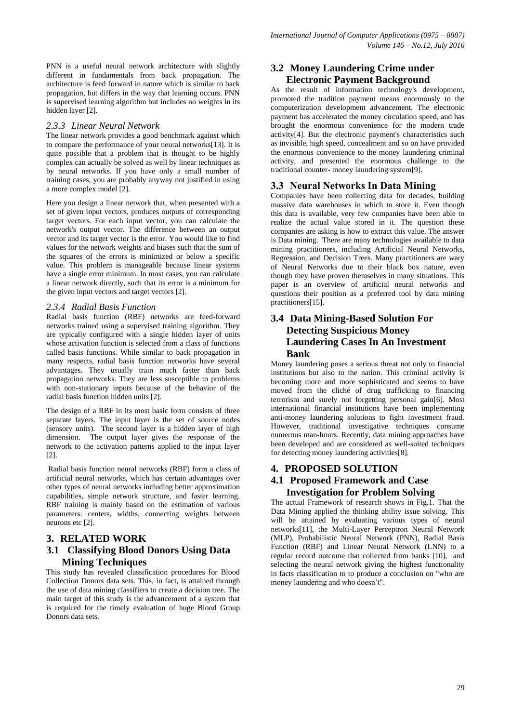PNN is a useful neural network architecture with slightly different in fundamentals from back propagation. The architecture is feed forward in nature which is similar to back propagation, but differs in the way that learning occurs. PNN is supervised learning algorithm but includes no weights in its hidden layer [2].

### *2.3.3 Linear Neural Network*

The linear network provides a good benchmark against which to compare the performance of your neural networks[13]. It is quite possible that a problem that is thought to be highly complex can actually be solved as well by linear techniques as by neural networks. If you have only a small number of training cases, you are probably anyway not justified in using a more complex model [2].

Here you design a linear network that, when presented with a set of given input vectors, produces outputs of corresponding target vectors. For each input vector, you can calculate the network's output vector. The difference between an output vector and its target vector is the error. You would like to find values for the network weights and biases such that the sum of the squares of the errors is minimized or below a specific value. This problem is manageable because linear systems have a single error minimum. In most cases, you can calculate a linear network directly, such that its error is a minimum for the given input vectors and target vectors [2].

### *2.3.4 Radial Basis Function*

Radial basis function (RBF) networks are feed-forward networks trained using a supervised training algorithm. They are typically configured with a single hidden layer of units whose activation function is selected from a class of functions called basis functions. While similar to back propagation in many respects, radial basis function networks have several advantages. They usually train much faster than back propagation networks. They are less susceptible to problems with non-stationary inputs because of the behavior of the radial basis function hidden units [2].

The design of a RBF in its most basic form consists of three separate layers. The input layer is the set of source nodes (sensory units). The second layer is a hidden layer of high dimension. The output layer gives the response of the network to the activation patterns applied to the input layer [2].

Radial basis function neural networks (RBF) form a class of artificial neural networks, which has certain advantages over other types of neural networks including better approximation capabilities, simple network structure, and faster learning. RBF training is mainly based on the estimation of various parameters: centers, widths, connecting weights between neurons etc [2].

# **3. RELATED WORK**

# **3.1 Classifying Blood Donors Using Data Mining Techniques**

This study has revealed classification procedures for Blood Collection Donors data sets. This, in fact, is attained through the use of data mining classifiers to create a decision tree. The main target of this study is the advancement of a system that is required for the timely evaluation of huge Blood Group Donors data sets.

# **3.2 Money Laundering Crime under Electronic Payment Background**

As the result of information technology's development, promoted the tradition payment means enormously to the computerization development advancement. The electronic payment has accelerated the money circulation speed, and has brought the enormous convenience for the modern trade activity[4]. But the electronic payment's characteristics such as invisible, high speed, concealment and so on have provided the enormous convenience to the money laundering criminal activity, and presented the enormous challenge to the traditional counter- money laundering system[9].

# **3.3 Neural Networks In Data Mining**

Companies have been collecting data for decades, building massive data warehouses in which to store it. Even though this data is available, very few companies have been able to realize the actual value stored in it. The question these companies are asking is how to extract this value. The answer is Data mining. There are many technologies available to data mining practitioners, including Artificial Neural Networks, Regression, and Decision Trees. Many practitioners are wary of Neural Networks due to their black box nature, even though they have proven themselves in many situations. This paper is an overview of artificial neural networks and questions their position as a preferred tool by data mining practitioners[15].

# **3.4 Data Mining-Based Solution For Detecting Suspicious Money Laundering Cases In An Investment Bank**

Money laundering poses a serious threat not only to financial institutions but also to the nation. This criminal activity is becoming more and more sophisticated and seems to have moved from the cliché of drug trafficking to financing terrorism and surely not forgetting personal gain[6]. Most international financial institutions have been implementing anti-money laundering solutions to fight investment fraud. However, traditional investigative techniques consume numerous man-hours. Recently, data mining approaches have been developed and are considered as well-suited techniques for detecting money laundering activities[8].

# **4. PROPOSED SOLUTION**

# **4.1 Proposed Framework and Case Investigation for Problem Solving**

The actual Framework of research shows in Fig.1. That the Data Mining applied the thinking ability issue solving. This will be attained by evaluating various types of neural networks[11], the Multi-Layer Perceptron Neural Network (MLP), Probabilistic Neural Network (PNN), Radial Basis Function (RBF) and Linear Neural Network (LNN) to a regular record outcome that collected from banks [10], and selecting the neural network giving the highest functionality in facts classification to to produce a conclusion on "who are money laundering and who doesn't".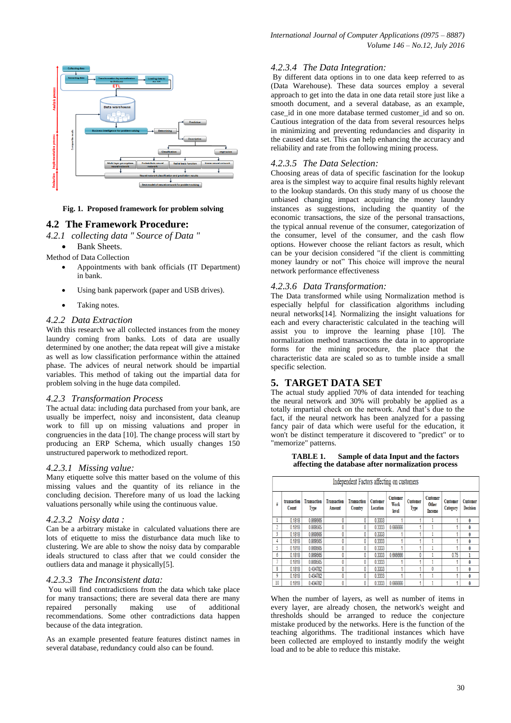

**Fig. 1. Proposed framework for problem solving**

#### **4.2 The Framework Procedure:**

*4.2.1 collecting data " Source of Data "*

Bank Sheets.

Method of Data Collection

- Appointments with bank officials (IT Department) in bank.
- Using bank paperwork (paper and USB drives).
- Taking notes.

#### *4.2.2 Data Extraction*

With this research we all collected instances from the money laundry coming from banks. Lots of data are usually determined by one another; the data repeat will give a mistake as well as low classification performance within the attained phase. The advices of neural network should be impartial variables. This method of taking out the impartial data for problem solving in the huge data compiled.

#### *4.2.3 Transformation Process*

The actual data: including data purchased from your bank, are usually be imperfect, noisy and inconsistent, data cleanup work to fill up on missing valuations and proper in congruencies in the data [10]. The change process will start by producing an ERP Schema, which usually changes 150 unstructured paperwork to methodized report.

### *4.2.3.1 Missing value:*

Many etiquette solve this matter based on the volume of this missing values and the quantity of its reliance in the concluding decision. Therefore many of us load the lacking valuations personally while using the continuous value.

#### *4.2.3.2 Noisy data :*

Can be a arbitrary mistake in calculated valuations there are lots of etiquette to miss the disturbance data much like to clustering. We are able to show the noisy data by comparable ideals structured to class after that we could consider the outliers data and manage it physically[5].

#### *4.2.3.3 The Inconsistent data:*

You will find contradictions from the data which take place for many transactions; there are several data there are many repaired personally making use of additional recommendations. Some other contradictions data happen because of the data integration.

As an example presented feature features distinct names in several database, redundancy could also can be found.

#### *4.2.3.4 The Data Integration:*

By different data options in to one data keep referred to as (Data Warehouse). These data sources employ a several approach to get into the data in one data retail store just like a smooth document, and a several database, as an example, case id in one more database termed customer id and so on. Cautious integration of the data from several resources helps in minimizing and preventing redundancies and disparity in the caused data set. This can help enhancing the accuracy and reliability and rate from the following mining process.

### *4.2.3.5 The Data Selection:*

Choosing areas of data of specific fascination for the lookup area is the simplest way to acquire final results highly relevant to the lookup standards. On this study many of us choose the unbiased changing impact acquiring the money laundry instances as suggestions, including the quantity of the economic transactions, the size of the personal transactions, the typical annual revenue of the consumer, categorization of the consumer, level of the consumer, and the cash flow options. However choose the reliant factors as result, which can be your decision considered "if the client is committing money laundry or not" This choice will improve the neural network performance effectiveness

### *4.2.3.6 Data Transformation:*

The Data transformed while using Normalization method is especially helpful for classification algorithms including neural networks[14]. Normalizing the insight valuations for each and every characteristic calculated in the teaching will assist you to improve the learning phase [10]. The normalization method transactions the data in to appropriate forms for the mining procedure, the place that the characteristic data are scaled so as to tumble inside a small specific selection.

#### **5. TARGET DATA SET**

The actual study applied 70% of data intended for teaching the neural network and 30% will probably be applied as a totally impartial check on the network. And that's due to the fact, if the neural network has been analyzed for a passing fancy pair of data which were useful for the education, it won't be distinct temperature it discovered to "predict" or to "memorize" patterns.

**TABLE 1. Sample of data Input and the factors affecting the database after normalization process**

|    | Independent Factors affecting on customers |                            |                              |                               |                      |                           |                         |                                    |                      |                             |  |  |
|----|--------------------------------------------|----------------------------|------------------------------|-------------------------------|----------------------|---------------------------|-------------------------|------------------------------------|----------------------|-----------------------------|--|--|
| š  | transaction<br>Count                       | <b>Transaction</b><br>Type | <b>Transaction</b><br>Amount | <b>Transaction</b><br>Country | Customer<br>Location | Customer<br>Work<br>level | <b>Customer</b><br>Type | <b>Customer</b><br>Other<br>Income | Customer<br>Category | Customer<br><b>Decision</b> |  |  |
|    | 0 1818                                     | 0.869565                   | 0                            | 0                             | 0.3333               |                           |                         |                                    |                      | 0                           |  |  |
|    | 0.1818                                     | 0.869565                   | 0                            | Ō                             | 0.3333               | 0.666666                  |                         |                                    |                      | 0                           |  |  |
| ξ  | 0.1818                                     | 0.869565                   | 0                            | 0                             | 03333                |                           |                         |                                    |                      | 0                           |  |  |
|    | 0.1818                                     | 0.869565                   | 0                            | 0                             | 0.3333               |                           |                         |                                    |                      | 0                           |  |  |
| ۰  | 0.1818                                     | 0.869565                   | 0                            | Ō                             | 0.3333               |                           |                         |                                    |                      | 0                           |  |  |
| 6  | 0 1818                                     | 0.869565                   | 0                            | 0                             | 0.3333               | 0.666666                  | 0                       |                                    | 075                  |                             |  |  |
|    | 0.1818                                     | 0.869565                   | 0                            | Ō                             | 0.3333               |                           |                         |                                    |                      | 0                           |  |  |
| 8  | 0.1818                                     | 0.434782                   | 0                            | 0                             | 0.3333               |                           |                         | Ō                                  |                      | 0                           |  |  |
| 9  | 0.1818                                     | 0.434782                   | 0                            | 0                             | 0.3333               |                           |                         |                                    |                      | Ô                           |  |  |
| 10 | 0.1818                                     | 0.434782                   | 0                            |                               | 0.3333               | 0.666666                  |                         |                                    |                      | 0                           |  |  |

When the number of layers, as well as number of items in every layer, are already chosen, the network's weight and thresholds should be arranged to reduce the conjecture mistake produced by the networks. Here is the function of the teaching algorithms. The traditional instances which have been collected are employed to instantly modify the weight load and to be able to reduce this mistake.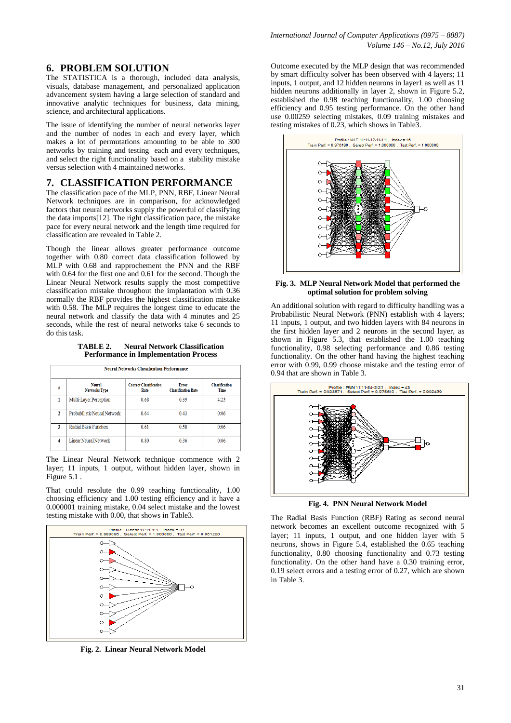# **6. PROBLEM SOLUTION**

The STATISTICA is a thorough, included data analysis, visuals, database management, and personalized application advancement system having a large selection of standard and innovative analytic techniques for business, data mining, science, and architectural applications.

The issue of identifying the number of neural networks layer and the number of nodes in each and every layer, which makes a lot of permutations amounting to be able to 300 networks by training and testing each and every techniques, and select the right functionality based on a stability mistake versus selection with 4 maintained networks.

### **7. CLASSIFICATION PERFORMANCE**

The classification pace of the MLP, PNN, RBF, Linear Neural Network techniques are in comparison, for acknowledged factors that neural networks supply the powerful of classifying the data imports[12]. The right classification pace, the mistake pace for every neural network and the length time required for classification are revealed in Table 2.

Though the linear allows greater performance outcome together with 0.80 correct data classification followed by MLP with 0.68 and rapprochement the PNN and the RBF with 0.64 for the first one and 0.61 for the second. Though the Linear Neural Network results supply the most competitive classification mistake throughout the implantation with 0.36 normally the RBF provides the highest classification mistake with 0.58. The MLP requires the longest time to educate the neural network and classify the data with 4 minutes and 25 seconds, while the rest of neural networks take 6 seconds to do this task.

**TABLE 2. Neural Network Classification Performance in Implementation Process**

| #            | <b>Neural</b><br><b>Networks Type</b> | <b>Correct Classification</b><br>Rate | Error<br><b>Classification Rate</b> | <b>Classification</b><br><b>Time</b> |
|--------------|---------------------------------------|---------------------------------------|-------------------------------------|--------------------------------------|
| 1            | Multi-Layer Perception                | 0.68                                  | 0.39                                | 4:25                                 |
| $\mathbf{r}$ | Probabilistic Neural Network          | 0.64                                  | 0.43                                | 0:06                                 |
| 3            | Radial Basis Function                 | 0.61                                  | 0.58                                | 0:06                                 |
| 4            | Linear Neural Network                 | 0.80                                  | 0.36                                | 0:06                                 |

The Linear Neural Network technique commence with 2 layer; 11 inputs, 1 output, without hidden layer, shown in Figure 5.1 .

That could resolute the 0.99 teaching functionality, 1.00 choosing efficiency and 1.00 testing efficiency and it have a 0.000001 training mistake, 0.04 select mistake and the lowest testing mistake with 0.00, that shows in Table3.



**Fig. 2. Linear Neural Network Model**

Outcome executed by the MLP design that was recommended by smart difficulty solver has been observed with 4 layers; 11 inputs, 1 output, and 12 hidden neurons in layer1 as well as 11 hidden neurons additionally in layer 2, shown in Figure 5.2, established the 0.98 teaching functionality, 1.00 choosing efficiency and 0.95 testing performance. On the other hand use 0.00259 selecting mistakes, 0.09 training mistakes and testing mistakes of 0.23, which shows in Table3.



#### **Fig. 3. MLP Neural Network Model that performed the optimal solution for problem solving**

An additional solution with regard to difficulty handling was a Probabilistic Neural Network (PNN) establish with 4 layers; 11 inputs, 1 output, and two hidden layers with 84 neurons in the first hidden layer and 2 neurons in the second layer, as shown in Figure 5.3, that established the 1.00 teaching functionality, 0.98 selecting performance and 0.86 testing functionality. On the other hand having the highest teaching error with 0.99, 0.99 choose mistake and the testing error of 0.94 that are shown in Table 3.



**Fig. 4. PNN Neural Network Model**

The Radial Basis Function (RBF) Rating as second neural network becomes an excellent outcome recognized with 5 layer; 11 inputs, 1 output, and one hidden layer with 5 neurons, shows in Figure 5.4, established the 0.65 teaching functionality, 0.80 choosing functionality and 0.73 testing functionality. On the other hand have a 0.30 training error, 0.19 select errors and a testing error of 0.27, which are shown in Table 3.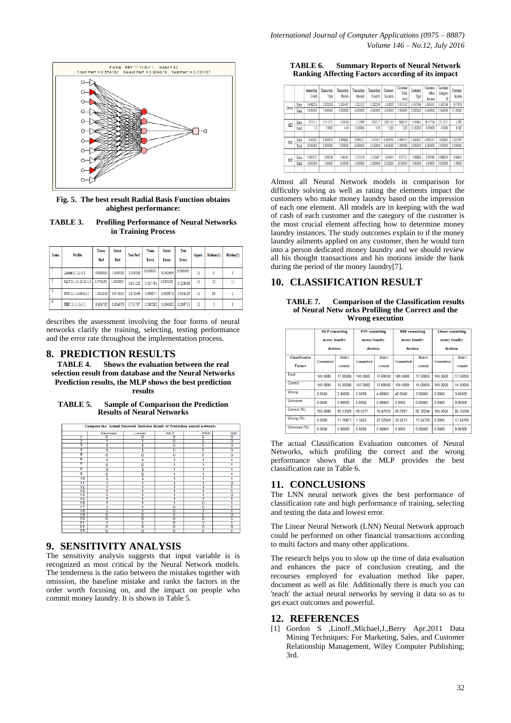

**Fig. 5. The best result Radial Basis Function obtains ahighest performance:**

**TABLE 3. Profiling Performance of Neural Networks in Training Process**

| Index | Profile             | Train<br>Perf | <b>Select</b><br>Perf | <b>Test Perf</b> | Train<br>Error | <b>Select</b><br>Error | Test<br>Error | Inputs | Hidden(1) | Hidden(2) |
|-------|---------------------|---------------|-----------------------|------------------|----------------|------------------------|---------------|--------|-----------|-----------|
|       | Linear 11:11-1:1    | 0.988095      | 000000                | 1.000000         | 0.000001       | 0.042494               | 0.000000      | Ħ      |           |           |
|       | MLP 11:11-12-11-1:1 | 0.976190      | 1.000000              | 0.951220         | 0.087761       | 0.000259               | 0.226089      | 11     | 12        | 11        |
| 3     | PNN 11:11-84-2-2:1  | 000000        | 0.975610              | 0.878049         | 0.998677       | 0.986978               | 0.938239      | n      | 84        | ٠         |
|       | RBF11:11-5-1:1      | 0.654762      | 0.804878              | 0.731707         | 0.295292       | 0.194382               | 0.269715      | 11     |           |           |

describes the assessment involving the four forms of neural networks clarify the training, selecting, testing performance and the error rate throughout the implementation process.

# **8. PREDICTION RESULTS**

**TABLE 4. Shows the evaluation between the real selection result from database and the Neural Networks Prediction results, the MLP shows the best prediction results** 

**TABLE 5. Sample of Comparison the Prediction Results of Neural Networks**

|                | Compare the Actual Deserved Decision Result of Prediction neural networks |                         |                         |                         |            |  |  |  |  |
|----------------|---------------------------------------------------------------------------|-------------------------|-------------------------|-------------------------|------------|--|--|--|--|
|                | Decision                                                                  | Linear                  | <b>MLP</b>              | PNN                     | <b>RBF</b> |  |  |  |  |
| 1              | o                                                                         | ᡖ                       | $\overline{\mathbf{o}}$ | ō                       | ᡖ          |  |  |  |  |
| $\overline{2}$ | 1                                                                         | 1                       | $\overline{\mathbf{o}}$ | ō                       | ō          |  |  |  |  |
| 3              | 1                                                                         | 1                       | $\circ$                 | $\circ$                 | o          |  |  |  |  |
| 4              | 1                                                                         | 1                       | $\circ$                 | $\circ$                 | o          |  |  |  |  |
| Б              | $\Omega$                                                                  | $\Omega$                | $\circ$                 | $\circ$                 | $\circ$    |  |  |  |  |
| 6              | 1                                                                         | 1                       | 1                       | 1                       | 1          |  |  |  |  |
|                | Ō                                                                         | Ō                       | 1                       | 1                       | 1          |  |  |  |  |
| B              | 1                                                                         | 1                       | 1                       | 1                       |            |  |  |  |  |
| 9              | $\Omega$                                                                  | $\Omega$                |                         |                         |            |  |  |  |  |
| 10             | 1                                                                         | 1                       |                         |                         |            |  |  |  |  |
| 11             | 1                                                                         | 1                       | 1                       | 1                       | o          |  |  |  |  |
| 12             | 1                                                                         | 1                       |                         | 1                       |            |  |  |  |  |
| 13             | 1                                                                         | 1                       | 1                       | 1                       | 1          |  |  |  |  |
| 14             | 1                                                                         | 1                       | 1                       | 1                       | o          |  |  |  |  |
| 15             | 1                                                                         | 1                       | 1                       | 1                       |            |  |  |  |  |
| 16             | 1                                                                         | 1                       | 1                       | $\overline{\mathbf{o}}$ | 1          |  |  |  |  |
| 17             | 1                                                                         | 1                       | $\overline{\mathbf{o}}$ | $\overline{\mathbf{o}}$ | 1          |  |  |  |  |
| 18             | 1                                                                         | 1                       | $\overline{\mathbf{o}}$ | 1                       | 1          |  |  |  |  |
| 19             | ō                                                                         | ō                       | $\overline{\mathbf{o}}$ | $\overline{\mathbf{o}}$ | ō          |  |  |  |  |
| 20             | $\overline{\mathbf{o}}$                                                   | ō                       | $\overline{\mathbf{o}}$ | $\overline{\mathbf{o}}$ | 1          |  |  |  |  |
| 21             | 1                                                                         | 1                       | $\overline{\mathbf{o}}$ | 1                       |            |  |  |  |  |
| 22             | ō                                                                         | $\overline{\mathbf{o}}$ | $\overline{\mathbf{o}}$ | ᠊ᢐ                      | ō          |  |  |  |  |
| 23             | o                                                                         | $\overline{\mathbf{o}}$ | $\overline{0}$          | $\overline{0}$          |            |  |  |  |  |

# **9. SENSITIVITY ANALYSIS**

The sensitivity analysis suggests that input variable is is recognized as most critical by the Neural Network models. The tenderness is the ratio between the mistakes together with omission, the baseline mistake and ranks the factors in the order worth focusing on, and the impact on people who commit money laundry. It is shown in Table 5.

**TABLE 6. Summary Reports of Neural Network Ranking Affecting Factors according of its impact**

|            |       | transaction<br>Count | Transaction<br>Type | Transaction<br>Process | <b>Transaction</b><br>Amount | Transaction<br>Country | Customer<br>Location | Customer<br>Work<br>level | Customer<br>Type | Customer<br><b>Other</b><br>Income | Customer<br>Category<br>D | Customer<br>Income |
|------------|-------|----------------------|---------------------|------------------------|------------------------------|------------------------|----------------------|---------------------------|------------------|------------------------------------|---------------------------|--------------------|
| Linear     | Ratio | .648224              | 1.012618            | 1.005467               | 1.025123                     | 1.282299               | 1.00121              | 1.075432                  | 1.432766         | 1.006361                           | 1.432766                  | 0.97814            |
|            | Rank  | 3.000000             | 7.000000            | 9.000000               | 6.000000                     | 4.000000               | 10.00000             | 5,000000                  | 2,000000         | \$,000000                          | 1.000000                  | 11.00000           |
|            |       |                      |                     |                        |                              |                        |                      |                           |                  |                                    |                           |                    |
| <b>MLP</b> | Ratio | 23765.1              | 154,3577            | 2588.60                | 1.55999                      | 3202.57                | 1063.553             | 9608.53                   | 0.04681          | 18.47736                           | 171.2317                  | 1.890              |
|            | Rank  | 1.0                  | 7,0000              | 4.00                   | 10.00000                     | 3.00                   | 5.000                | 2.00                      | 11,00000         | \$,00000                           | 6,0000                    | 9.000              |
|            |       |                      |                     |                        |                              |                        |                      |                           |                  |                                    |                           |                    |
| PNN        | Ratio | 0.99262              | 0.998329            | 0.998692               | 0.999117                     | 0.97467                | 0.999459             | 0.999452                  | 1.000662         | 0.998567                           | 1.000662                  | 1.002395           |
|            | Rank  | 10.00000             | 9.000000            | 7.000000               | 6.000000                     | 11.00000               | 4.000000             | 5.000000                  | 2,000000         | 8 000000                           | 3.000000                  | 1.000000           |
|            |       |                      |                     |                        |                              |                        |                      |                           |                  |                                    |                           |                    |
| RBF        | Ratio | 1.094252             | 0.99238             | 0.99191                | 1.032559                     | 1.051697               | 0.93954              | 0.97337                   | 0.98886          | 0.99390                            | 0.988859                  | 0.98944            |
|            | Rank  | 1.000000             | 5.00000             | 6,00000                | 3.000000                     | 2,000000               | 11,00000             | 10.00000                  | \$,00000         | 4,00000                            | 9,000000                  | 7.00000            |
|            |       |                      |                     |                        |                              |                        |                      |                           |                  |                                    |                           |                    |

Almost all Neural Network models in comparison for difficulty solving as well as rating the elements impact the customers who make money laundry based on the impression of each one element. All models are in keeping with the wad of cash of each customer and the category of the customer is the most crucial element affecting how to determine money laundry instances. The study outcomes explain to if the money laundry ailments applied on any customer, then he would turn into a person dedicated money laundry and we should review all his thought transactions and his motions inside the bank during the period of the money laundry[7].

# **10. CLASSIFICATION RESULT**

| <b>TABLE 7.</b> Comparison of the Classification results |
|----------------------------------------------------------|
| of Neural Netw orks Profiling the Correct and the        |
| Wrong execution                                          |

|                       | <b>MLP</b> committing<br>money laundry |          | <b>PNN</b> committing<br>money laundry |          | <b>RBF</b> committing<br>money laundry |          | <b>Linear committing</b><br>money laundry |          |  |
|-----------------------|----------------------------------------|----------|----------------------------------------|----------|----------------------------------------|----------|-------------------------------------------|----------|--|
|                       | decision.                              |          | decision.                              |          | decision.                              |          | decision.                                 |          |  |
| <b>Classification</b> |                                        | Didn't   |                                        | Didn't   |                                        | Didn't   |                                           | Didn't   |  |
| <b>Factors</b>        | Committed                              | commit.  | Committed                              | commit   | Committed                              | commit   | Committed                                 | commit   |  |
| Total                 | 149 0000                               | 17 00000 | 149 0000                               | 17 00000 | 149 0000                               | 17 00000 | 149 0000                                  | 17 00000 |  |
| Correct               | 149 0000                               | 15 00000 | 147 0000                               | 13 00000 | 104 0000                               | 14 00000 | 149 0000                                  | 14 00000 |  |
| Wrong                 | 0.0000                                 | 2.00000  | 2.0000                                 | 4.00000  | 45.0000                                | 3.00000  | 0.0000                                    | 3.00000  |  |
| <b>Unknown</b>        | 0.0000                                 | 0.00000  | 0.0000                                 | 0.00000  | 0.0000                                 | 0.00000  | 0.0000                                    | 0.00000  |  |
| Correct (%)           | 100 0000                               | 88 23529 | 98 6577                                | 76 47059 | 69 7987                                | 82 35294 | 100 0000                                  | 82 35294 |  |
| Wrong (%)             | 0.0000                                 | 11.76471 | 1.3423                                 | 23.52941 | 30.2013                                | 17.64706 | 0.0000                                    | 17.64706 |  |
| Unknown (%)           | 0.0000                                 | 0.00000  | 0.0000                                 | 0.00000  | 0.0000                                 | 0.00000  | 0.0000                                    | 0.00000  |  |

The actual Classification Evaluation outcomes of Neural Networks, which profiling the correct and the wrong performance shows that the MLP provides the best classification rate in Table 6.

# **11. CONCLUSIONS**

The LNN neural network gives the best performance of classification rate and high performance of training, selecting and testing the data and lowest error.

The Linear Neural Network (LNN) Neural Network approach could be performed on other financial transactions according to multi factors and many other applications.

The research helps you to slow up the time of data evaluation and enhances the pace of conclusion creating, and the recourses employed for evaluation method like paper, document as well as file. Additionally there is much you can 'teach' the actual neural networks by serving it data so as to get exact outcomes and powerful.

### **12. REFERENCES**

[1] Gordon S ,Linoff.,Michael,J.,Berry Apr.2011 Data Mining Techniques: For Marketing, Sales, and Customer Relationship Management, Wiley Computer Publishing; 3rd.